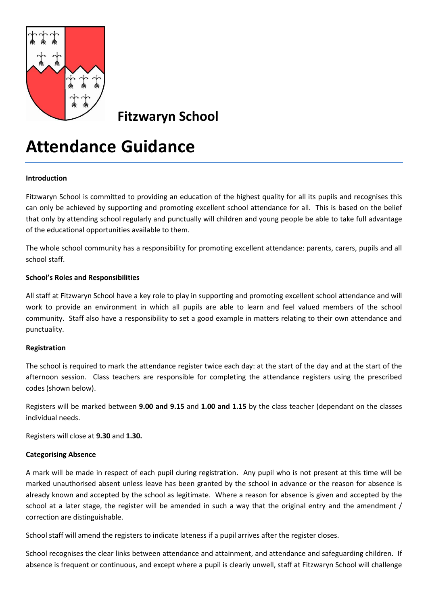

**Fitzwaryn School**

# **Attendance Guidance**

# **Introduction**

Fitzwaryn School is committed to providing an education of the highest quality for all its pupils and recognises this can only be achieved by supporting and promoting excellent school attendance for all. This is based on the belief that only by attending school regularly and punctually will children and young people be able to take full advantage of the educational opportunities available to them.

The whole school community has a responsibility for promoting excellent attendance: parents, carers, pupils and all school staff.

### **School's Roles and Responsibilities**

All staff at Fitzwaryn School have a key role to play in supporting and promoting excellent school attendance and will work to provide an environment in which all pupils are able to learn and feel valued members of the school community. Staff also have a responsibility to set a good example in matters relating to their own attendance and punctuality.

# **Registration**

The school is required to mark the attendance register twice each day: at the start of the day and at the start of the afternoon session. Class teachers are responsible for completing the attendance registers using the prescribed codes (shown below).

Registers will be marked between **9.00 and 9.15** and **1.00 and 1.15** by the class teacher (dependant on the classes individual needs.

Registers will close at **9.30** and **1.30.**

# **Categorising Absence**

A mark will be made in respect of each pupil during registration. Any pupil who is not present at this time will be marked unauthorised absent unless leave has been granted by the school in advance or the reason for absence is already known and accepted by the school as legitimate. Where a reason for absence is given and accepted by the school at a later stage, the register will be amended in such a way that the original entry and the amendment / correction are distinguishable.

School staff will amend the registers to indicate lateness if a pupil arrives after the register closes.

School recognises the clear links between attendance and attainment, and attendance and safeguarding children. If absence is frequent or continuous, and except where a pupil is clearly unwell, staff at Fitzwaryn School will challenge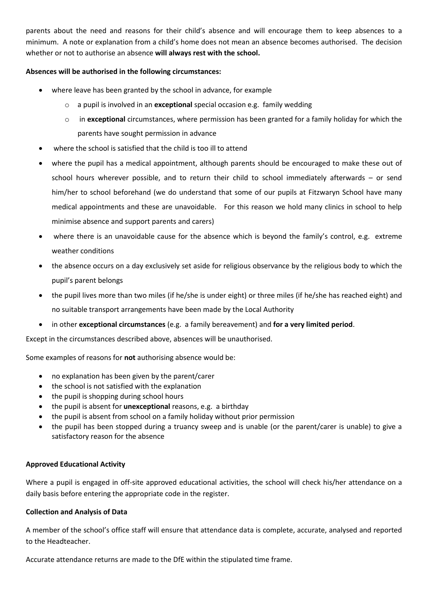parents about the need and reasons for their child's absence and will encourage them to keep absences to a minimum. A note or explanation from a child's home does not mean an absence becomes authorised. The decision whether or not to authorise an absence **will always rest with the school.**

## **Absences will be authorised in the following circumstances:**

- where leave has been granted by the school in advance, for example
	- o a pupil is involved in an **exceptional** special occasion e.g. family wedding
	- o in **exceptional** circumstances, where permission has been granted for a family holiday for which the parents have sought permission in advance
- where the school is satisfied that the child is too ill to attend
- where the pupil has a medical appointment, although parents should be encouraged to make these out of school hours wherever possible, and to return their child to school immediately afterwards – or send him/her to school beforehand (we do understand that some of our pupils at Fitzwaryn School have many medical appointments and these are unavoidable. For this reason we hold many clinics in school to help minimise absence and support parents and carers)
- where there is an unavoidable cause for the absence which is beyond the family's control, e.g. extreme weather conditions
- the absence occurs on a day exclusively set aside for religious observance by the religious body to which the pupil's parent belongs
- the pupil lives more than two miles (if he/she is under eight) or three miles (if he/she has reached eight) and no suitable transport arrangements have been made by the Local Authority
- in other **exceptional circumstances** (e.g. a family bereavement) and **for a very limited period**.

Except in the circumstances described above, absences will be unauthorised.

Some examples of reasons for **not** authorising absence would be:

- no explanation has been given by the parent/carer
- the school is not satisfied with the explanation
- the pupil is shopping during school hours
- the pupil is absent for **unexceptional** reasons, e.g. a birthday
- the pupil is absent from school on a family holiday without prior permission
- the pupil has been stopped during a truancy sweep and is unable (or the parent/carer is unable) to give a satisfactory reason for the absence

#### **Approved Educational Activity**

Where a pupil is engaged in off-site approved educational activities, the school will check his/her attendance on a daily basis before entering the appropriate code in the register.

#### **Collection and Analysis of Data**

A member of the school's office staff will ensure that attendance data is complete, accurate, analysed and reported to the Headteacher.

Accurate attendance returns are made to the DfE within the stipulated time frame.